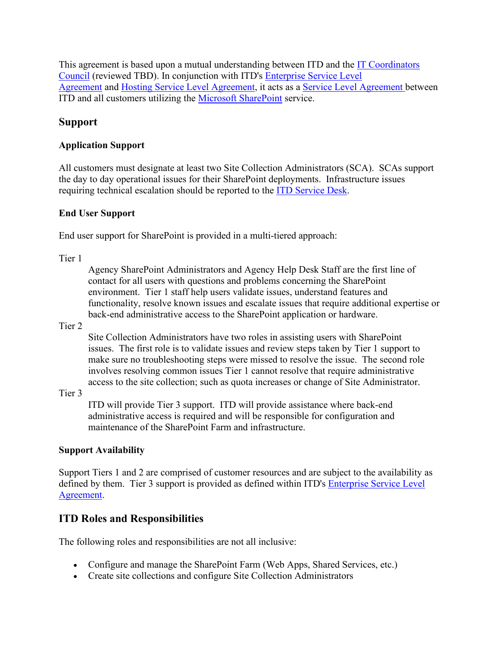This agreement is based upon a mutual understanding between ITD and the [IT Coordinators](https://www.nd.gov/itd/node/117)  [Council](https://www.nd.gov/itd/node/117) (reviewed TBD). In conjunction with ITD's [Enterprise Service Level](https://www.nd.gov/itd/node/4018)  [Agreement](https://www.nd.gov/itd/node/4018) and [Hosting Service Level Agreement,](https://www.nd.gov/itd/node/4056) it acts as a [Service Level Agreement](http://www.nd.gov/itd/support/service-level-agreements) between ITD and all customers utilizing the [Microsoft SharePoint](https://www.nd.gov/itd/node/68) service.

# **Support**

### **Application Support**

All customers must designate at least two Site Collection Administrators (SCA). SCAs support the day to day operational issues for their SharePoint deployments. Infrastructure issues requiring technical escalation should be reported to the **ITD Service Desk**.

#### **End User Support**

End user support for SharePoint is provided in a multi-tiered approach:

Tier 1

Agency SharePoint Administrators and Agency Help Desk Staff are the first line of contact for all users with questions and problems concerning the SharePoint environment. Tier 1 staff help users validate issues, understand features and functionality, resolve known issues and escalate issues that require additional expertise or back-end administrative access to the SharePoint application or hardware.

Tier 2

Site Collection Administrators have two roles in assisting users with SharePoint issues. The first role is to validate issues and review steps taken by Tier 1 support to make sure no troubleshooting steps were missed to resolve the issue. The second role involves resolving common issues Tier 1 cannot resolve that require administrative access to the site collection; such as quota increases or change of Site Administrator.

Tier 3

ITD will provide Tier 3 support. ITD will provide assistance where back-end administrative access is required and will be responsible for configuration and maintenance of the SharePoint Farm and infrastructure.

### **Support Availability**

Support Tiers 1 and 2 are comprised of customer resources and are subject to the availability as defined by them. Tier 3 support is provided as defined within ITD's Enterprise Service Level [Agreement.](https://www.nd.gov/itd/node/4018)

# **ITD Roles and Responsibilities**

The following roles and responsibilities are not all inclusive:

- Configure and manage the SharePoint Farm (Web Apps, Shared Services, etc.)
- Create site collections and configure Site Collection Administrators